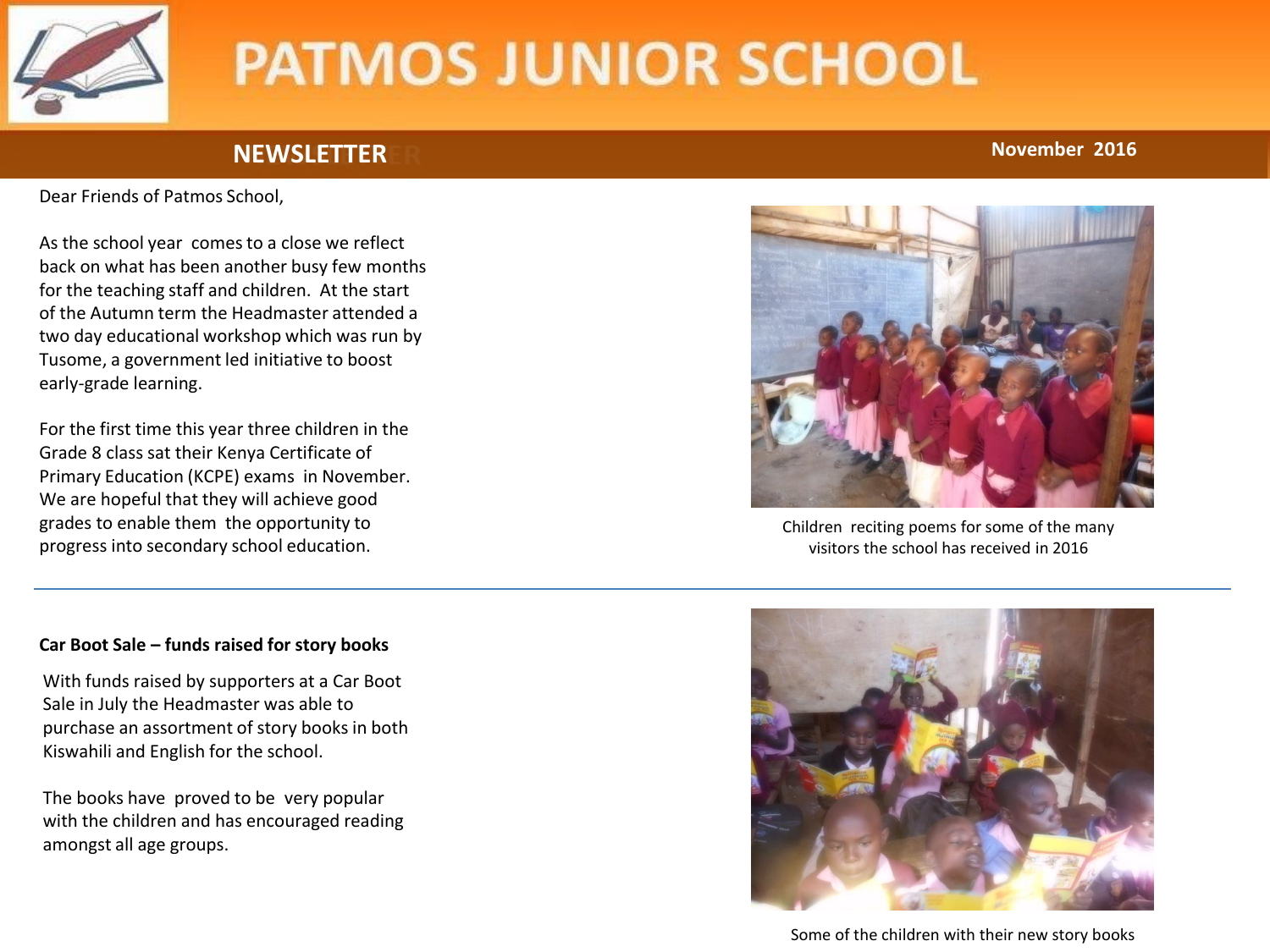

## **NEWSLETTER November 2016**

Dear Friends of Patmos School,

As the school year comes to a close we reflect back on what has been another busy few months for the teaching staff and children. At the start of the Autumn term the Headmaster attended a two day educational workshop which was run by Tusome, a government led initiative to boost early-grade learning.

For the first time this year three children in the Grade 8 class sat their Kenya Certificate of Primary Education (KCPE) exams in November. We are hopeful that they will achieve good grades to enable them the opportunity to progress into secondary school education.

Children reciting poems for some of the many visitors the school has received in 2016

#### **Car Boot Sale – funds raised for story books**

With funds raised by supporters at a Car Boot Sale in July the Headmaster was able to purchase an assortment of story books in both Kiswahili and English for the school.

The books have proved to be very popular with the children and has encouraged reading amongst all age groups.



Some of the children with their new story books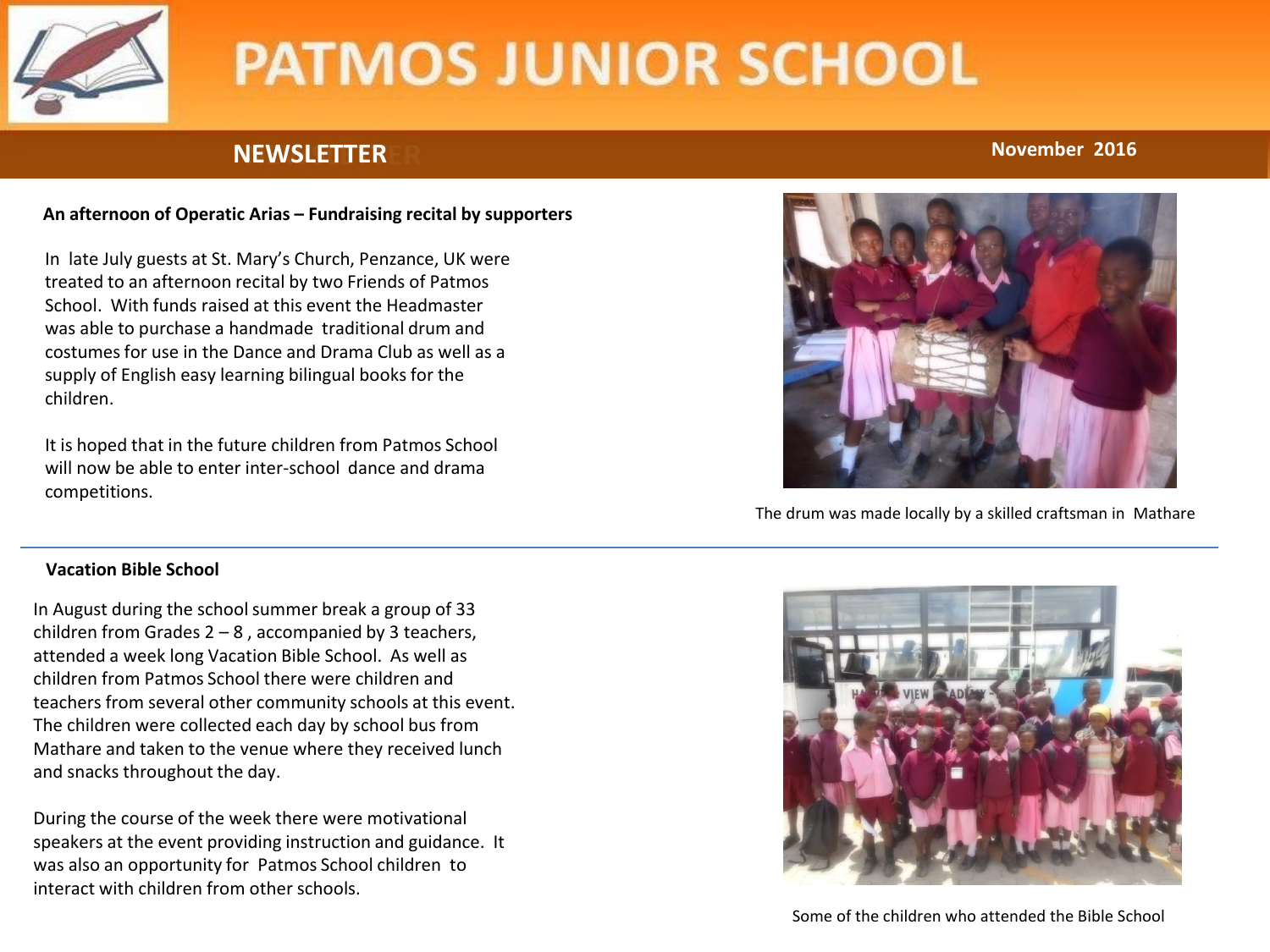

## **NEWSLETTER November 2016**

### **An afternoon of Operatic Arias – Fundraising recital by supporters**

In late July guests at St. Mary's Church, Penzance, UK were treated to an afternoon recital by two Friends of Patmos School. With funds raised at this event the Headmaster was able to purchase a handmade traditional drum and costumes for use in the Dance and Drama Club as well as a supply of English easy learning bilingual books for the children.

It is hoped that in the future children from Patmos School will now be able to enter inter-school dance and drama competitions.

### **Vacation Bible School**

In August during the school summer break a group of 33 children from Grades  $2 - 8$ , accompanied by 3 teachers, attended a week long Vacation Bible School. As well as children from Patmos School there were children and teachers from several other community schools at this event. The children were collected each day by school bus from Mathare and taken to the venue where they received lunch and snacks throughout the day.

During the course of the week there were motivational speakers at the event providing instruction and guidance. It was also an opportunity for Patmos School children to interact with children from other schools.



The drum was made locally by a skilled craftsman in Mathare



Some of the children who attended the Bible School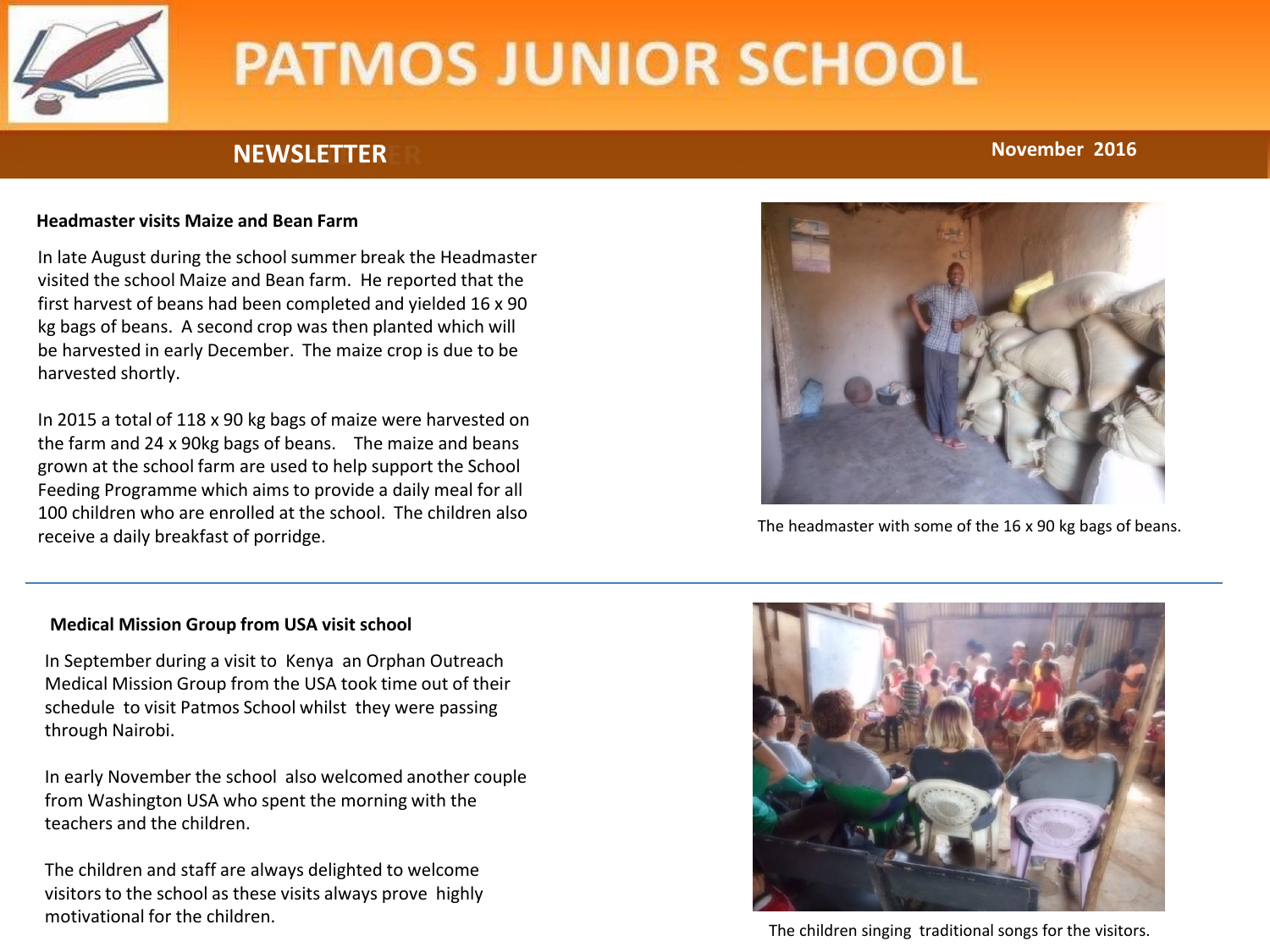

## **NEWSLETTER November 2016**

### **Headmaster visits Maize and Bean Farm**

In late August during the school summer break the Headmaster visited the school Maize and Bean farm. He reported that the first harvest of beans had been completed and yielded 16 x 90 kg bags of beans. A second crop was then planted which will be harvested in early December. The maize crop is due to be harvested shortly.

In 2015 a total of 118 x 90 kg bags of maize were harvested on the farm and 24 x 90kg bags of beans. The maize and beans grown at the school farm are used to help support the School Feeding Programme which aims to provide a daily meal for all 100 children who are enrolled at the school. The children also receive a daily breakfast of porridge.



The headmaster with some of the 16 x 90 kg bags of beans.

### **Medical Mission Group from USA visit school**

In September during a visit to Kenya an Orphan Outreach Medical Mission Group from the USA took time out of their schedule to visit Patmos School whilst they were passing through Nairobi.

In early November the school also welcomed another couple from Washington USA who spent the morning with the teachers and the children.

The children and staff are always delighted to welcome visitors to the school as these visits always prove highly motivational for the children.



The children singing traditional songs for the visitors.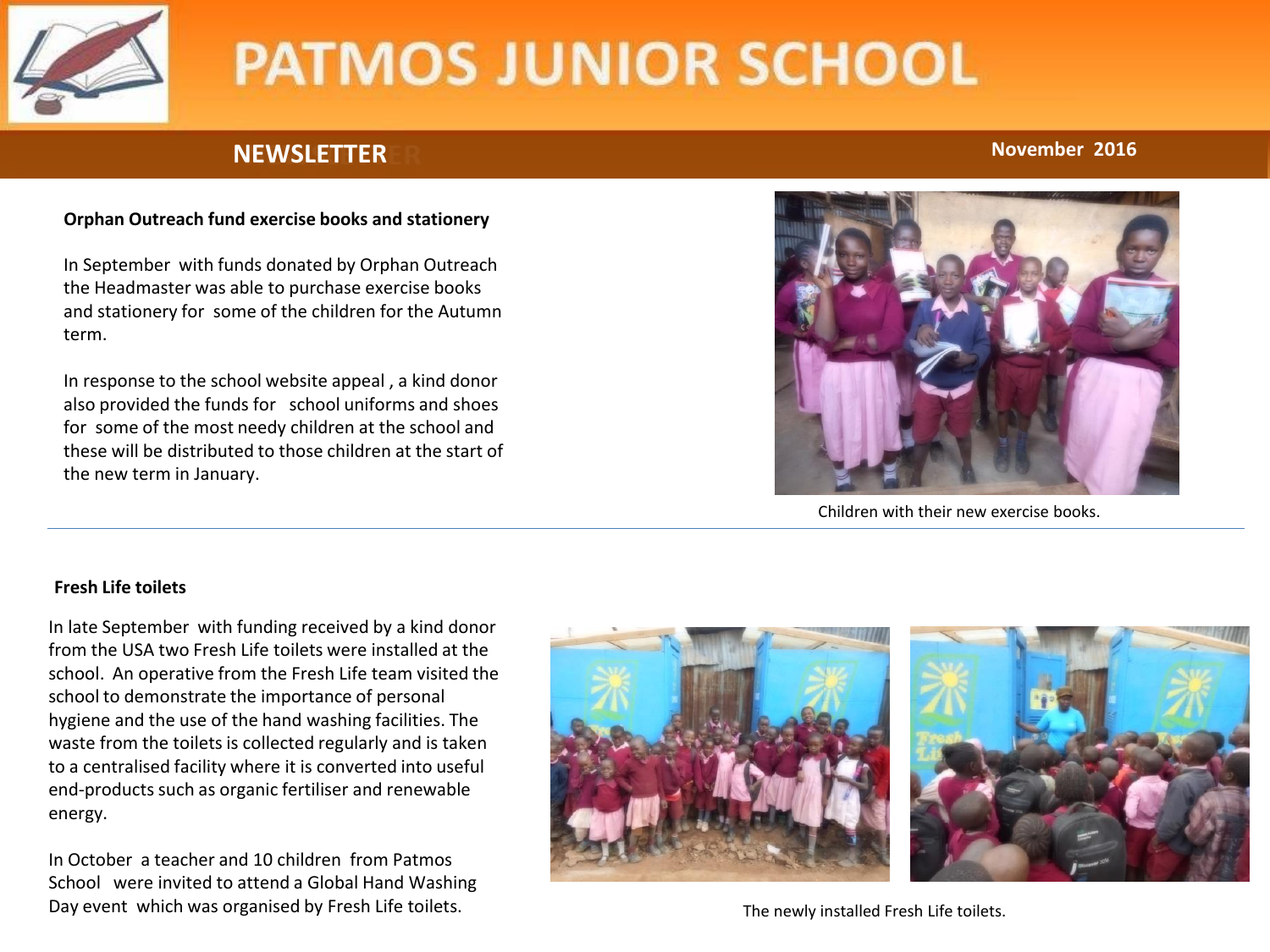

## **NEWSLETTER November 2016**

### **Orphan Outreach fund exercise books and stationery**

In September with funds donated by Orphan Outreach the Headmaster was able to purchase exercise books and stationery for some of the children for the Autumn term.

In response to the school website appeal , a kind donor also provided the funds for school uniforms and shoes for some of the most needy children at the school and these will be distributed to those children at the start of the new term in January.



Children with their new exercise books.

#### **Fresh Life toilets**

In late September with funding received by a kind donor from the USA two Fresh Life toilets were installed at the school. An operative from the Fresh Life team visited the school to demonstrate the importance of personal hygiene and the use of the hand washing facilities. The waste from the toilets is collected regularly and is taken to a centralised facility where it is converted into useful end-products such as organic fertiliser and renewable energy.

In October a teacher and 10 children from Patmos School were invited to attend a Global Hand Washing Day event which was organised by Fresh Life toilets.



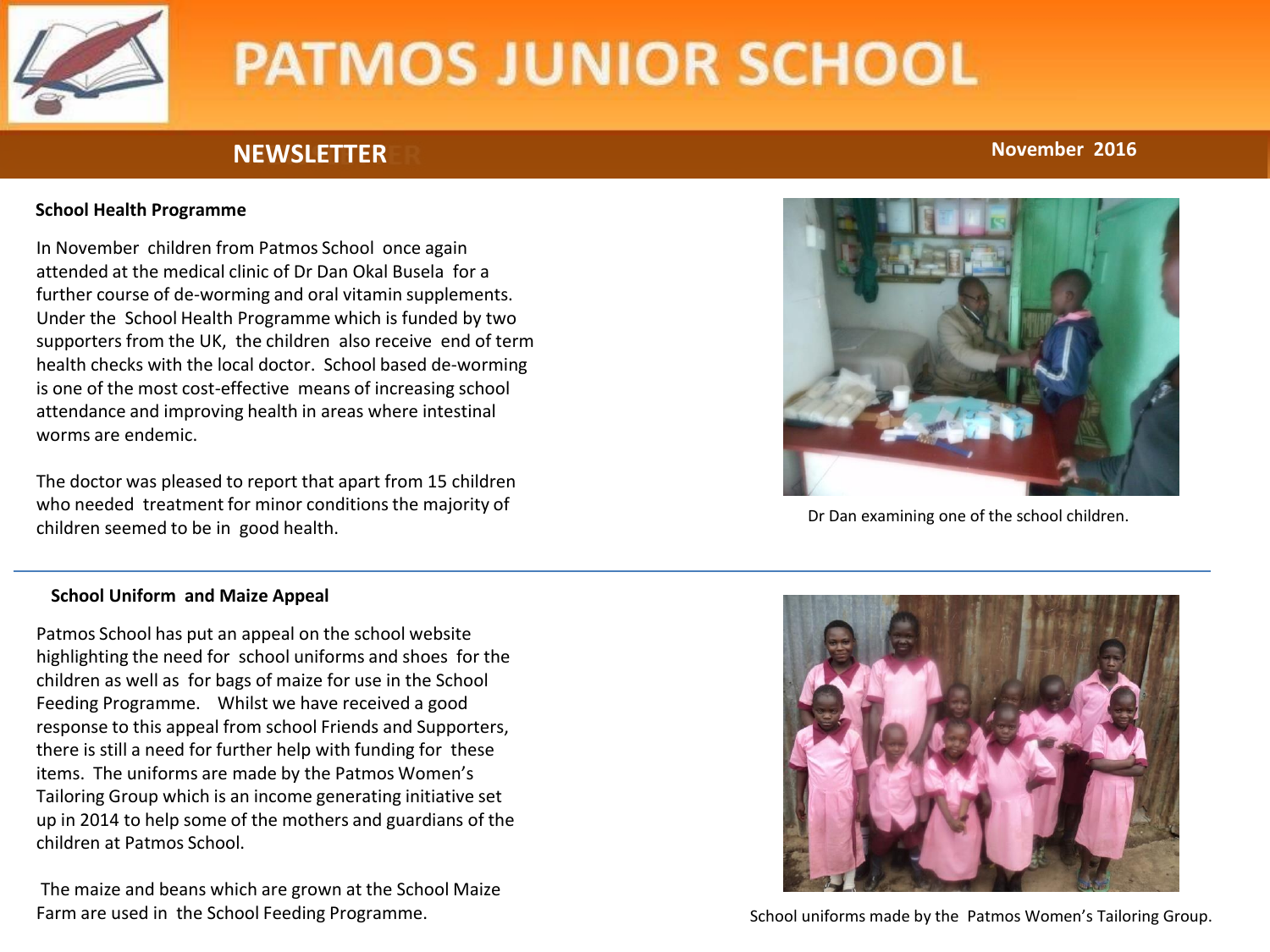

## **NEWSLETTER November 2016**

### **School Health Programme**

In November children from Patmos School once again attended at the medical clinic of Dr Dan Okal Busela for a further course of de-worming and oral vitamin supplements. Under the School Health Programme which is funded by two supporters from the UK, the children also receive end of term health checks with the local doctor. School based de-worming is one of the most cost-effective means of increasing school attendance and improving health in areas where intestinal worms are endemic.

The doctor was pleased to report that apart from 15 children who needed treatment for minor conditions the majority of children seemed to be in good health.



Dr Dan examining one of the school children.

#### **School Uniform and Maize Appeal**

Patmos School has put an appeal on the school website highlighting the need for school uniforms and shoes for the children as well as for bags of maize for use in the School Feeding Programme. Whilst we have received a good response to this appeal from school Friends and Supporters, there is still a need for further help with funding for these items. The uniforms are made by the Patmos Women's Tailoring Group which is an income generating initiative set up in 2014 to help some of the mothers and guardians of the children at Patmos School.

The maize and beans which are grown at the School Maize Farm are used in the School Feeding Programme.



School uniforms made by the Patmos Women's Tailoring Group.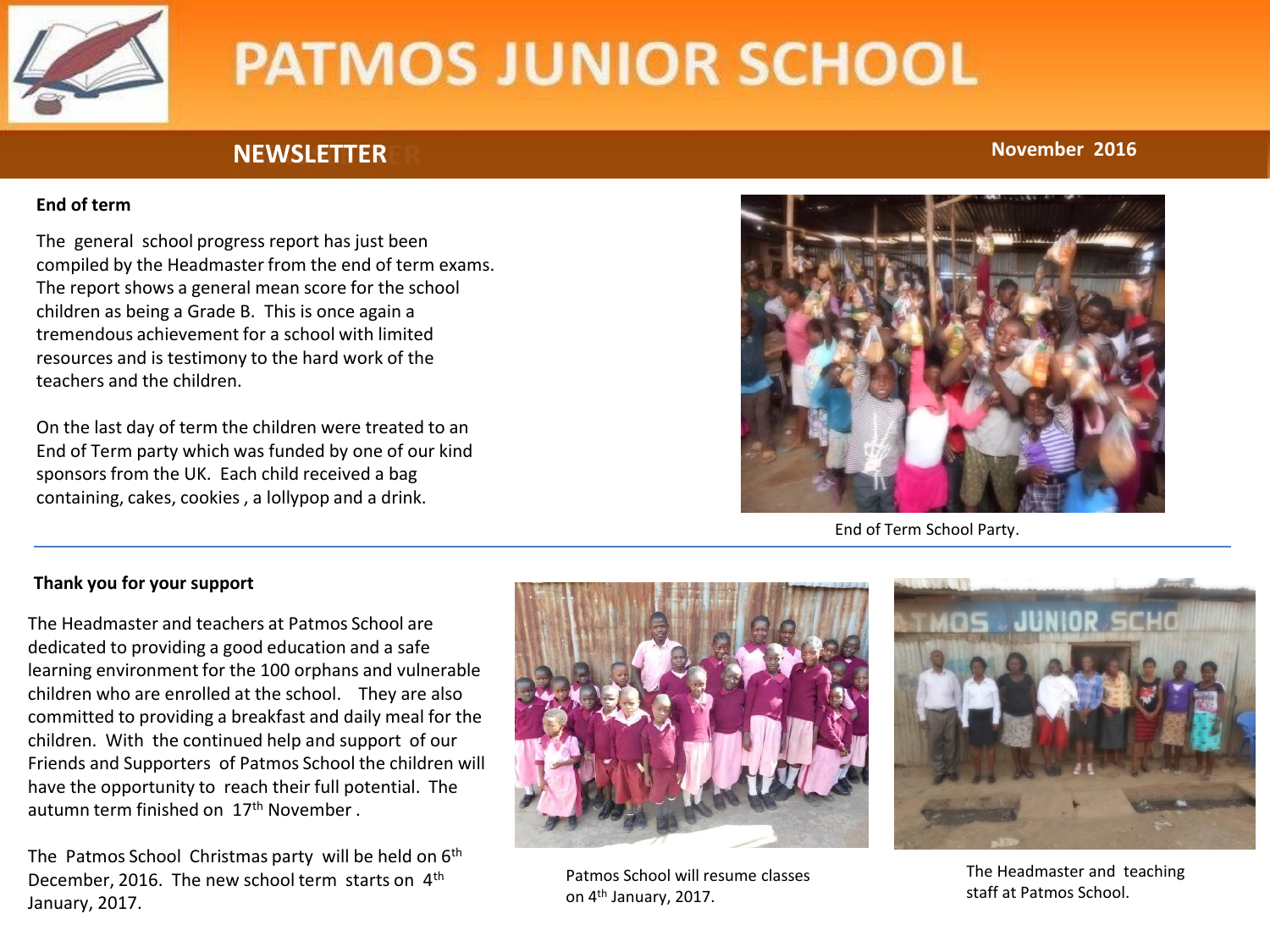

## **NEWSLETTER November 2016**

### **End of term**

The general school progress report has just been compiled by the Headmaster from the end of term exams. The report shows a general mean score for the school children as being a Grade B. This is once again a tremendous achievement for a school with limited resources and is testimony to the hard work of the teachers and the children.

On the last day of term the children were treated to an End of Term party which was funded by one of our kind sponsors from the UK. Each child received a bag containing, cakes, cookies , a lollypop and a drink.



End of Term School Party.

## **Thank you for your support**

The Headmaster and teachers at Patmos School are dedicated to providing a good education and a safe learning environment for the 100 orphans and vulnerable children who are enrolled at the school. They are also committed to providing a breakfast and daily meal for the children. With the continued help and support of our Friends and Supporters of Patmos School the children will have the opportunity to reach their full potential. The autumn term finished on 17th November .

The Patmos School Christmas party will be held on 6<sup>th</sup> December, 2016. The new school term starts on 4<sup>th</sup> January, 2017.



Patmos School will resume classes on 4th January, 2017.



The Headmaster and teaching staff at Patmos School.